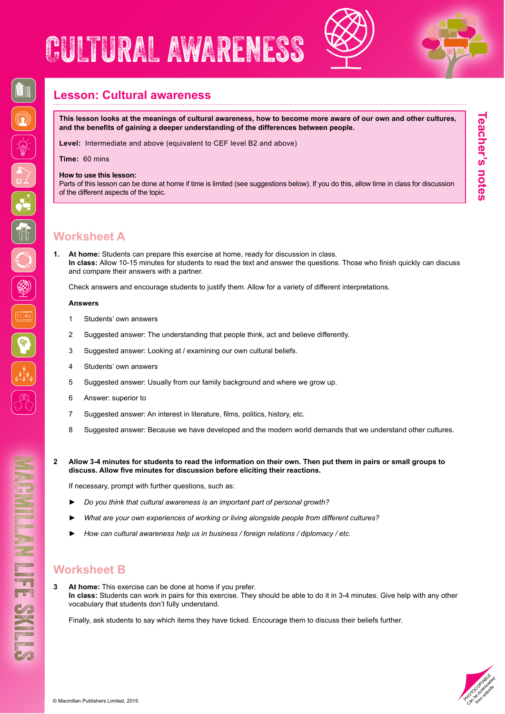# CULTURAL AWARENESS





**Teacher's notes**

leacher's notes

## **Lesson: Cultural awareness**

**This lesson looks at the meanings of cultural awareness, how to become more aware of our own and other cultures, and the benefits of gaining a deeper understanding of the differences between people.** 

**Level:** Intermediate and above (equivalent to CEF level B2 and above)

**Time:** 60 mins

#### **How to use this lesson:**

Parts of this lesson can be done at home if time is limited (see suggestions below). If you do this, allow time in class for discussion of the different aspects of the topic.

## **Worksheet A**

**1. At home:** Students can prepare this exercise at home, ready for discussion in class. **In class:** Allow 10-15 minutes for students to read the text and answer the questions. Those who finish quickly can discuss and compare their answers with a partner.

Check answers and encourage students to justify them. Allow for a variety of different interpretations.

#### **Answers**

- 1 Students' own answers
- 2 Suggested answer: The understanding that people think, act and believe differently.
- 3 Suggested answer: Looking at / examining our own cultural beliefs.
- 4 Students' own answers
- 5 Suggested answer: Usually from our family background and where we grow up.
- 6 Answer: superior to
- 7 Suggested answer: An interest in literature, films, politics, history, etc.
- 8 Suggested answer: Because we have developed and the modern world demands that we understand other cultures.
- **2 Allow 3-4 minutes for students to read the information on their own. Then put them in pairs or small groups to discuss. Allow five minutes for discussion before eliciting their reactions.**

If necessary, prompt with further questions, such as:

- ► *Do you think that cultural awareness is an important part of personal growth?*
- ► *What are your own experiences of working or living alongside people from different cultures?*
- ► *How can cultural awareness help us in business / foreign relations / diplomacy / etc.*

# **Worksheet B**

**3 At home:** This exercise can be done at home if you prefer. **In class:** Students can work in pairs for this exercise. They should be able to do it in 3-4 minutes. Give help with any other vocabulary that students don't fully understand.

Finally, ask students to say which items they have ticked. Encourage them to discuss their beliefs further.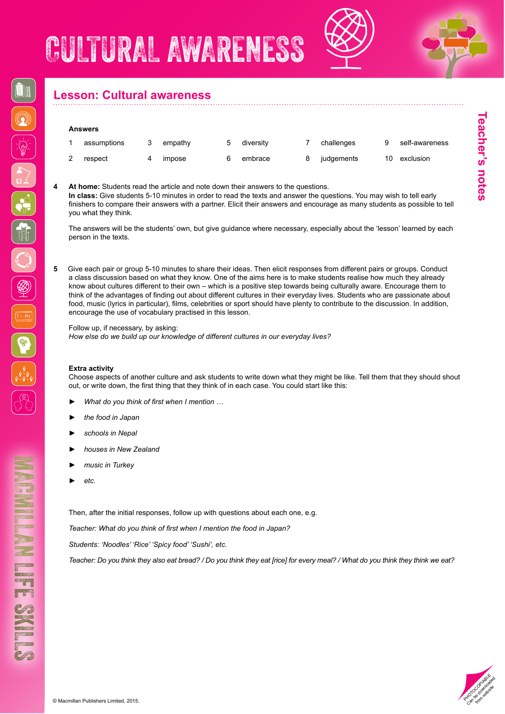



# **Lesson: Cultural awareness**

#### **Answers**

| assumptions | empathy | diversity | challenges |    | self-awareness |
|-------------|---------|-----------|------------|----|----------------|
| respect     | impose  | embrace   | judgements | 10 | exclusion      |

**4 At home:** Students read the article and note down their answers to the questions. **In class:** Give students 5-10 minutes in order to read the texts and answer the questions. You may wish to tell early finishers to compare their answers with a partner. Elicit their answers and encourage as many students as possible to tell you what they think.

The answers will be the students' own, but give guidance where necessary, especially about the 'lesson' learned by each person in the texts.

**5** Give each pair or group 5-10 minutes to share their ideas. Then elicit responses from different pairs or groups. Conduct a class discussion based on what they know. One of the aims here is to make students realise how much they already know about cultures different to their own – which is a positive step towards being culturally aware. Encourage them to think of the advantages of finding out about different cultures in their everyday lives. Students who are passionate about food, music (lyrics in particular), films, celebrities or sport should have plenty to contribute to the discussion. In addition, encourage the use of vocabulary practised in this lesson.

Follow up, if necessary, by asking:

*How else do we build up our knowledge of different cultures in our everyday lives?*

#### **Extra activity**

Choose aspects of another culture and ask students to write down what they might be like. Tell them that they should shout out, or write down, the first thing that they think of in each case. You could start like this:

- ► *What do you think of first when I mention …*
- ► *the food in Japan*
- ► *schools in Nepal*
- ► *houses in New Zealand*
- ► *music in Turkey*
- ► *etc.*

MACHES SKILLS

**STIPS ENGINER** 

Then, after the initial responses, follow up with questions about each one, e.g.

*Teacher: What do you think of first when I mention the food in Japan?*

*Students: 'Noodles' 'Rice' 'Spicy food' 'Sushi', etc.*

*Teacher: Do you think they also eat bread? / Do you think they eat [rice] for every meal? / What do you think they think we eat?*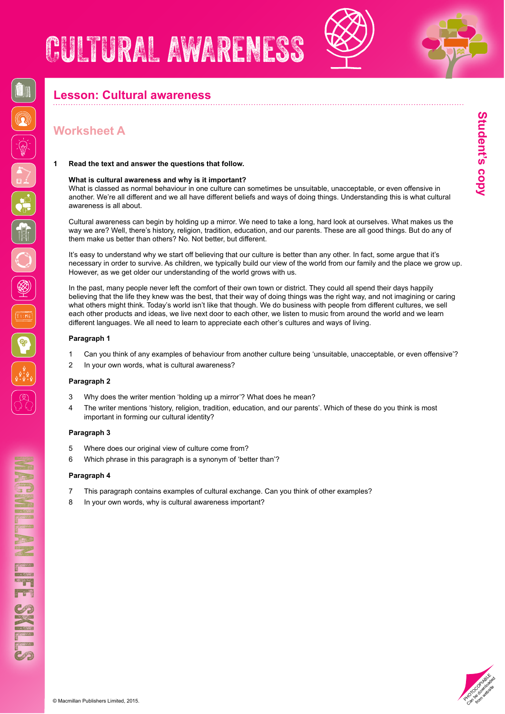### **Lesson: Cultural awareness**

## **Worksheet A**

#### **1 Read the text and answer the questions that follow.**

#### **What is cultural awareness and why is it important?**

What is classed as normal behaviour in one culture can sometimes be unsuitable, unacceptable, or even offensive in another. We're all different and we all have different beliefs and ways of doing things. Understanding this is what cultural awareness is all about.

Cultural awareness can begin by holding up a mirror. We need to take a long, hard look at ourselves. What makes us the way we are? Well, there's history, religion, tradition, education, and our parents. These are all good things. But do any of them make us better than others? No. Not better, but different.

It's easy to understand why we start off believing that our culture is better than any other. In fact, some argue that it's necessary in order to survive. As children, we typically build our view of the world from our family and the place we grow up. However, as we get older our understanding of the world grows with us.

In the past, many people never left the comfort of their own town or district. They could all spend their days happily believing that the life they knew was the best, that their way of doing things was the right way, and not imagining or caring what others might think. Today's world isn't like that though. We do business with people from different cultures, we sell each other products and ideas, we live next door to each other, we listen to music from around the world and we learn different languages. We all need to learn to appreciate each other's cultures and ways of living.

#### **Paragraph 1**

- 1 Can you think of any examples of behaviour from another culture being 'unsuitable, unacceptable, or even offensive'?
- 2 In your own words, what is cultural awareness?

#### **Paragraph 2**

- 3 Why does the writer mention 'holding up a mirror'? What does he mean?
- 4 The writer mentions 'history, religion, tradition, education, and our parents'. Which of these do you think is most important in forming our cultural identity?

#### **Paragraph 3**

- 5 Where does our original view of culture come from?
- 6 Which phrase in this paragraph is a synonym of 'better than'?

#### **Paragraph 4**

- 7 This paragraph contains examples of cultural exchange. Can you think of other examples?
- In your own words, why is cultural awareness important?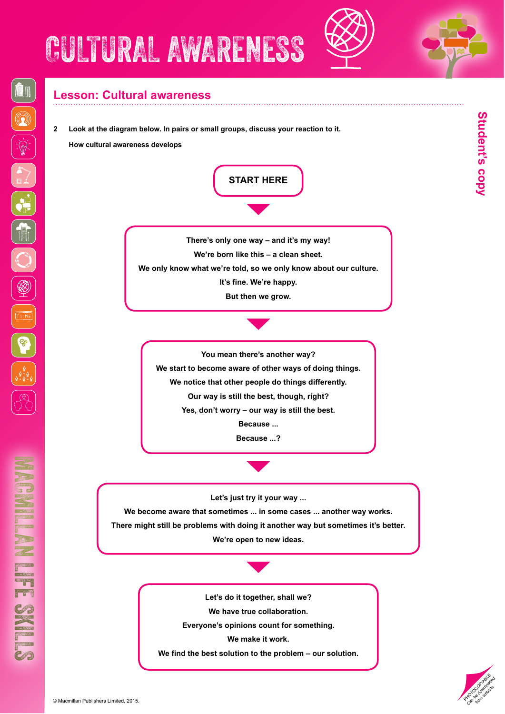## **Lesson: Cultural awareness**

**2 Look at the diagram below. In pairs or small groups, discuss your reaction to it.** 

**How cultural awareness develops**



**We have true collaboration.**

**Everyone's opinions count for something.**

**We make it work.**

**We find the best solution to the problem – our solution.**